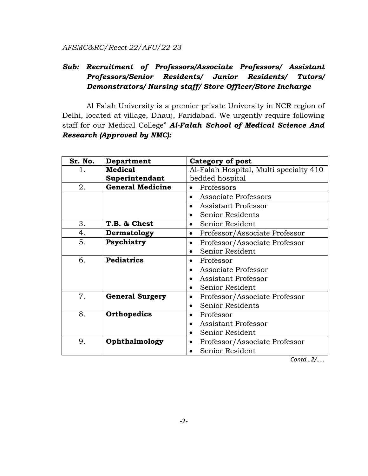*AFSMC&RC/Recct-22/AFU/22-23* 

## *Sub: Recruitment of Professors/Associate Professors/ Assistant Professors/Senior Residents/ Junior Residents/ Tutors/ Demonstrators/ Nursing staff/ Store Officer/Store Incharge*

Al Falah University is a premier private University in NCR region of Delhi, located at village, Dhauj, Faridabad. We urgently require following staff for our Medical College" *Al-Falah School of Medical Science And Research (Approved by NMC):*

| Sr. No. | Department              | <b>Category of post</b>                    |
|---------|-------------------------|--------------------------------------------|
| 1.      | <b>Medical</b>          | Al-Falah Hospital, Multi specialty 410     |
|         | Superintendant          | bedded hospital                            |
| 2.      | <b>General Medicine</b> | Professors<br>$\bullet$                    |
|         |                         | Associate Professors<br>$\bullet$          |
|         |                         | Assistant Professor<br>$\bullet$           |
|         |                         | Senior Residents<br>$\bullet$              |
| 3.      | T.B. & Chest            | Senior Resident<br>$\bullet$               |
| 4.      | Dermatology             | Professor/Associate Professor<br>$\bullet$ |
| 5.      | Psychiatry              | Professor/Associate Professor<br>$\bullet$ |
|         |                         | Senior Resident<br>$\bullet$               |
| 6.      | <b>Pediatrics</b>       | Professor<br>$\bullet$                     |
|         |                         | Associate Professor<br>$\bullet$           |
|         |                         | Assistant Professor<br>$\bullet$           |
|         |                         | Senior Resident<br>$\bullet$               |
| 7.      | <b>General Surgery</b>  | Professor/Associate Professor<br>$\bullet$ |
|         |                         | Senior Residents<br>$\bullet$              |
| 8.      | Orthopedics             | Professor<br>$\bullet$                     |
|         |                         | Assistant Professor<br>$\bullet$           |
|         |                         | Senior Resident<br>$\bullet$               |
| 9.      | Ophthalmology           | Professor/Associate Professor<br>$\bullet$ |
|         |                         | Senior Resident                            |

*Contd…2/…..*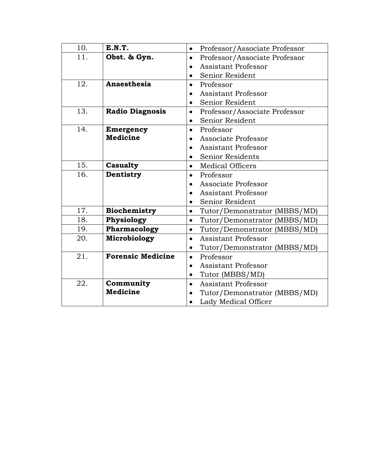| 10. | <b>E.N.T.</b>            | Professor/Associate Professor<br>$\bullet$ |
|-----|--------------------------|--------------------------------------------|
| 11. | Obst. & Gyn.             | Professor/Associate Professor<br>$\bullet$ |
|     |                          | <b>Assistant Professor</b>                 |
|     |                          | Senior Resident<br>$\bullet$               |
| 12. | Anaesthesia              | Professor<br>$\bullet$                     |
|     |                          | Assistant Professor                        |
|     |                          | Senior Resident                            |
| 13. | <b>Radio Diagnosis</b>   | Professor/Associate Professor<br>$\bullet$ |
|     |                          | Senior Resident<br>$\bullet$               |
| 14. | <b>Emergency</b>         | Professor<br>$\bullet$                     |
|     | <b>Medicine</b>          | Associate Professor<br>$\bullet$           |
|     |                          | <b>Assistant Professor</b><br>$\bullet$    |
|     |                          | Senior Residents<br>$\bullet$              |
| 15. | Casualty                 | <b>Medical Officers</b><br>$\bullet$       |
| 16. | Dentistry                | Professor<br>$\bullet$                     |
|     |                          | Associate Professor<br>$\bullet$           |
|     |                          | <b>Assistant Professor</b><br>$\bullet$    |
|     |                          | Senior Resident                            |
| 17. | <b>Biochemistry</b>      | Tutor/Demonstrator (MBBS/MD)<br>$\bullet$  |
| 18. | Physiology               | Tutor/Demonstrator (MBBS/MD)<br>$\bullet$  |
| 19. | Pharmacology             | Tutor/Demonstrator (MBBS/MD)<br>$\bullet$  |
| 20. | Microbiology             | <b>Assistant Professor</b><br>$\bullet$    |
|     |                          | Tutor/Demonstrator (MBBS/MD)<br>$\bullet$  |
| 21. | <b>Forensic Medicine</b> | Professor<br>$\bullet$                     |
|     |                          | Assistant Professor<br>$\bullet$           |
|     |                          | Tutor (MBBS/MD)<br>$\bullet$               |
| 22. | Community                | <b>Assistant Professor</b><br>$\bullet$    |
|     | <b>Medicine</b>          | Tutor/Demonstrator (MBBS/MD)               |
|     |                          | Lady Medical Officer<br>$\bullet$          |